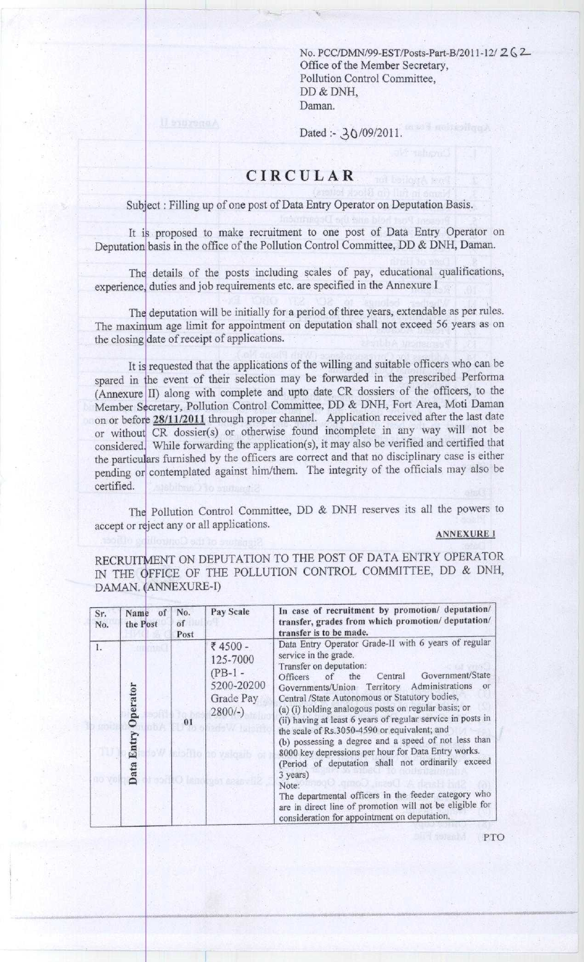**No. PCC**/**DMN/99**-**EST/Posts-Part-B**/**2011-12/ 2 G 2- Office of the Member Secretary, Pollution Control Committee,** DD & DNH, Daman.

**Dated** :- 3Q/09/2011.

## CIRCULAR

Subject : Filling up of one post of Data Entry Operator on Deputation Basis.

It is proposed to make recruitment to one post of Data Entry Operator on Deputation basis in the office of the Pollution Control Committee, DD & DNH, Daman.

The details of the posts including scales of pay, educational qualifications, experience, duties and job requirements etc. are specified in the Annexure I

The deputation will be initially for a period of three years, extendable as per rules. The maximum age limit for appointment on deputation shall not exceed 56 years as on the closing date of receipt of applications.

It is requested that the applications of the willing and suitable officers who can be spared in the event of their selection may be forwarded in the prescribed Performa (Annexure II) along with complete and upto date CR dossiers of the officers, to the Member Secretary, Pollution Control Committee, DD & DNH, Fort Area, Moti Daman on or before 28/11/2011 through proper channel. Application received after the last date or without CR dossier(s) or otherwise found incomplete in any way will not be considered. While forwarding the application(s), it may also be verified and certified that the particulars furnished by the officers are correct and that no disciplinary case is either pending or contemplated against him/them. The integrity of the officials may also be certified.

The Pollution Control Committee, DD & DNH reserves **its all** the powers to accept or reject any or all applications.

## **ANNEXURE I**

RECRUITMENT ON DEPUTATION TO THE POST OF DATA ENTRY OPERATOR IN THE **<sup>O</sup>**FFICE OF THE POLLUTION CONTROL COMMITTEE, DD & DNH, DAMAN. (ANNEXURE-I)

| Sr.<br>No. | Name of<br>the Post       | No.<br>of<br>Post                                                              | Pay Scale                                                                                                                                                                                                                                                                                                                                                                                                                                                                                                                                                                                                                                                                                                                                                                                                | In case of recruitment by promotion/ deputation/<br>transfer, grades from which promotion/ deputation/<br>transfer is to be made. |
|------------|---------------------------|--------------------------------------------------------------------------------|----------------------------------------------------------------------------------------------------------------------------------------------------------------------------------------------------------------------------------------------------------------------------------------------------------------------------------------------------------------------------------------------------------------------------------------------------------------------------------------------------------------------------------------------------------------------------------------------------------------------------------------------------------------------------------------------------------------------------------------------------------------------------------------------------------|-----------------------------------------------------------------------------------------------------------------------------------|
| 1.         | Operator<br>Entry<br>Data | き 4500 -<br>125-7000<br>$(PB-1 -$<br>5200-20200<br>Grade Pay<br>$2800/-$<br>01 | Data Entry Operator Grade-II with 6 years of regular<br>service in the grade.<br>Transfer on deputation:<br>Government/State<br>Central<br>the<br>Officers of<br>Governments/Union Territory Administrations<br>or<br>Central /State Autonomous or Statutory bodies,<br>(a) (i) holding analogous posts on regular basis; or<br>(ii) having at least 6 years of regular service in posts in<br>the scale of Rs.3050-4590 or equivalent; and<br>(b) possessing a degree and a speed of not less than<br>8000 key depressions per hour for Data Entry works.<br>(Period of deputation shall not ordinarily exceed<br>3 years)<br>Note:<br>The departmental officers in the feeder category who<br>are in direct line of promotion will not be eligible for<br>consideration for appointment on deputation. |                                                                                                                                   |

PTO